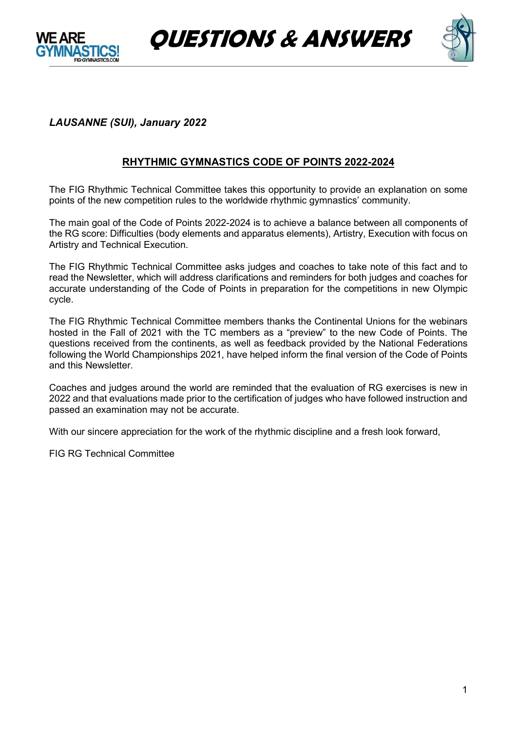





# *LAUSANNE (SUI), January 2022*

# **RHYTHMIC GYMNASTICS CODE OF POINTS 2022-2024**

The FIG Rhythmic Technical Committee takes this opportunity to provide an explanation on some points of the new competition rules to the worldwide rhythmic gymnastics' community.

The main goal of the Code of Points 2022-2024 is to achieve a balance between all components of the RG score: Difficulties (body elements and apparatus elements), Artistry, Execution with focus on Artistry and Technical Execution.

The FIG Rhythmic Technical Committee asks judges and coaches to take note of this fact and to read the Newsletter, which will address clarifications and reminders for both judges and coaches for accurate understanding of the Code of Points in preparation for the competitions in new Olympic cycle.

The FIG Rhythmic Technical Committee members thanks the Continental Unions for the webinars hosted in the Fall of 2021 with the TC members as a "preview" to the new Code of Points. The questions received from the continents, as well as feedback provided by the National Federations following the World Championships 2021, have helped inform the final version of the Code of Points and this Newsletter.

Coaches and judges around the world are reminded that the evaluation of RG exercises is new in 2022 and that evaluations made prior to the certification of judges who have followed instruction and passed an examination may not be accurate.

With our sincere appreciation for the work of the rhythmic discipline and a fresh look forward,

FIG RG Technical Committee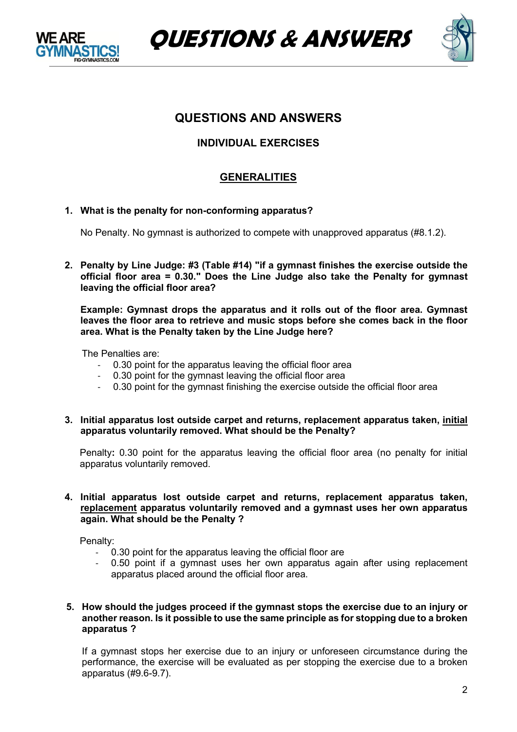





# **QUESTIONS AND ANSWERS**

# **INDIVIDUAL EXERCISES**

# **GENERALITIES**

**1. What is the penalty for non-conforming apparatus?**

No Penalty. No gymnast is authorized to compete with unapproved apparatus (#8.1.2).

**2. Penalty by Line Judge: #3 (Table #14) "if a gymnast finishes the exercise outside the official floor area = 0.30." Does the Line Judge also take the Penalty for gymnast leaving the official floor area?** 

**Example: Gymnast drops the apparatus and it rolls out of the floor area. Gymnast leaves the floor area to retrieve and music stops before she comes back in the floor area. What is the Penalty taken by the Line Judge here?**

The Penalties are:

- 0.30 point for the apparatus leaving the official floor area
- 0.30 point for the gymnast leaving the official floor area
- 0.30 point for the gymnast finishing the exercise outside the official floor area
- **3. Initial apparatus lost outside carpet and returns, replacement apparatus taken, initial apparatus voluntarily removed. What should be the Penalty?**

Penalty**:** 0.30 point for the apparatus leaving the official floor area (no penalty for initial apparatus voluntarily removed.

#### **4. Initial apparatus lost outside carpet and returns, replacement apparatus taken, replacement apparatus voluntarily removed and a gymnast uses her own apparatus again. What should be the Penalty ?**

Penalty:

- 0.30 point for the apparatus leaving the official floor are
- 0.50 point if a gymnast uses her own apparatus again after using replacement apparatus placed around the official floor area.

#### **5. How should the judges proceed if the gymnast stops the exercise due to an injury or another reason. Is it possible to use the same principle as for stopping due to a broken apparatus ?**

If a gymnast stops her exercise due to an injury or unforeseen circumstance during the performance, the exercise will be evaluated as per stopping the exercise due to a broken apparatus (#9.6-9.7).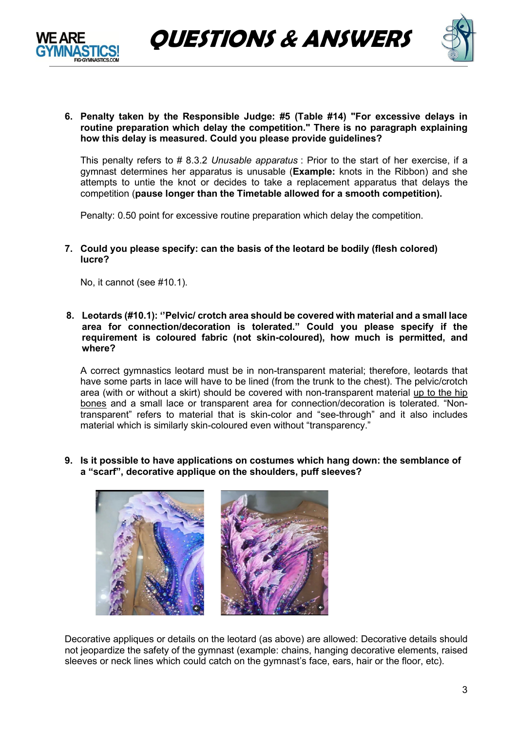



**6. Penalty taken by the Responsible Judge: #5 (Table #14) "For excessive delays in routine preparation which delay the competition." There is no paragraph explaining how this delay is measured. Could you please provide guidelines?**

This penalty refers to # 8.3.2 *Unusable apparatus* : Prior to the start of her exercise, if a gymnast determines her apparatus is unusable (**Example:** knots in the Ribbon) and she attempts to untie the knot or decides to take a replacement apparatus that delays the competition (**pause longer than the Timetable allowed for a smooth competition).** 

Penalty: 0.50 point for excessive routine preparation which delay the competition.

#### **7. Could you please specify: can the basis of the leotard be bodily (flesh colored) lucre?**

No, it cannot (see #10.1).

**8. Leotards (#10.1): ''Pelvic/ crotch area should be covered with material and a small lace area for connection/decoration is tolerated." Could you please specify if the requirement is coloured fabric (not skin-coloured), how much is permitted, and where?**

A correct gymnastics leotard must be in non-transparent material; therefore, leotards that have some parts in lace will have to be lined (from the trunk to the chest). The pelvic/crotch area (with or without a skirt) should be covered with non-transparent material up to the hip bones and a small lace or transparent area for connection/decoration is tolerated. "Nontransparent" refers to material that is skin-color and "see-through" and it also includes material which is similarly skin-coloured even without "transparency."

**9. Is it possible to have applications on costumes which hang down: the semblance of a "scarf", decorative applique on the shoulders, puff sleeves?**



Decorative appliques or details on the leotard (as above) are allowed: Decorative details should not jeopardize the safety of the gymnast (example: chains, hanging decorative elements, raised sleeves or neck lines which could catch on the gymnast's face, ears, hair or the floor, etc).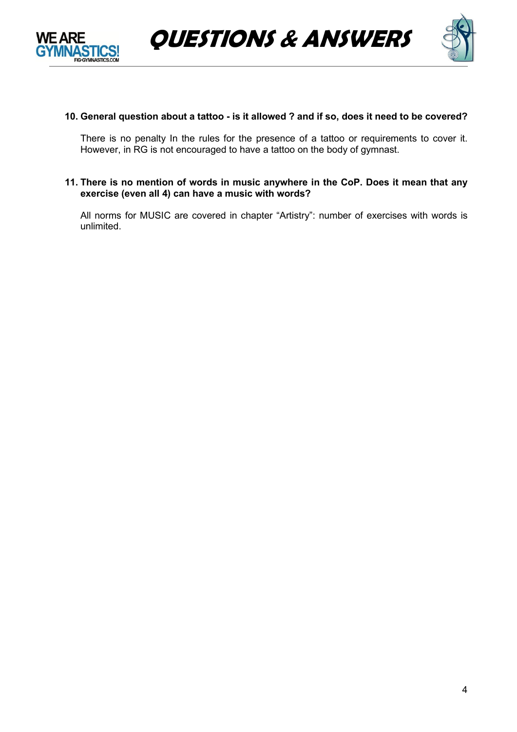



### **10. General question about a tattoo - is it allowed ? and if so, does it need to be covered?**

There is no penalty In the rules for the presence of a tattoo or requirements to cover it. However, in RG is not encouraged to have a tattoo on the body of gymnast.

**11. There is no mention of words in music anywhere in the CoP. Does it mean that any exercise (even all 4) can have a music with words?**

All norms for MUSIC are covered in chapter "Artistry": number of exercises with words is unlimited.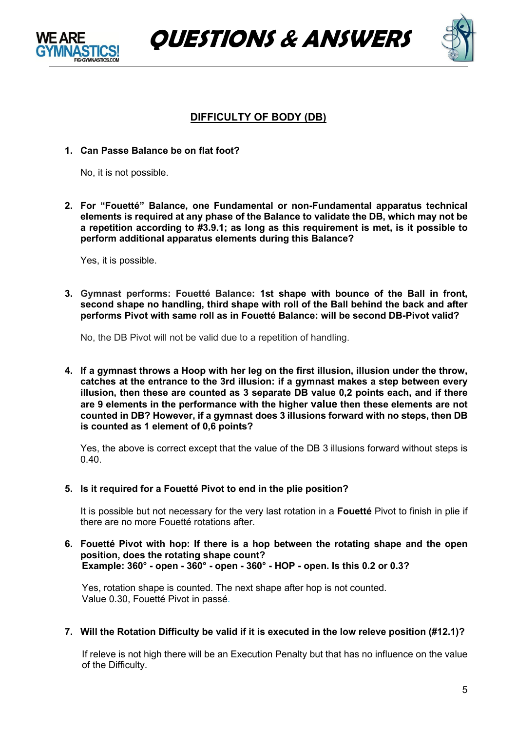





# **DIFFICULTY OF BODY (DB)**

**1. Can Passe Balance be on flat foot?**

No, it is not possible.

**2. For "Fouetté" Balance, one Fundamental or non-Fundamental apparatus technical elements is required at any phase of the Balance to validate the DB, which may not be a repetition according to #3.9.1; as long as this requirement is met, is it possible to perform additional apparatus elements during this Balance?**

Yes, it is possible.

**3. Gymnast performs: Fouetté Balance: 1st shape with bounce of the Ball in front, second shape no handling, third shape with roll of the Ball behind the back and after performs Pivot with same roll as in Fouetté Balance: will be second DB-Pivot valid?**

No, the DB Pivot will not be valid due to a repetition of handling.

**4. If a gymnast throws a Hoop with her leg on the first illusion, illusion under the throw, catches at the entrance to the 3rd illusion: if a gymnast makes a step between every illusion, then these are counted as 3 separate DB value 0,2 points each, and if there are 9 elements in the performance with the higher value then these elements are not counted in DB? However, if a gymnast does 3 illusions forward with no steps, then DB is counted as 1 element of 0,6 points?**

Yes, the above is correct except that the value of the DB 3 illusions forward without steps is  $0.40.$ 

**5. Is it required for a Fouetté Pivot to end in the plie position?**

It is possible but not necessary for the very last rotation in a **Fouetté** Pivot to finish in plie if there are no more Fouetté rotations after.

**6. Fouetté Pivot with hop: If there is a hop between the rotating shape and the open position, does the rotating shape count? Example: 360° - open - 360° - open - 360° - HOP - open. Is this 0.2 or 0.3?**

Yes, rotation shape is counted. The next shape after hop is not counted. Value 0.30, Fouetté Pivot in passé.

**7. Will the Rotation Difficulty be valid if it is executed in the low releve position (#12.1)?**

If releve is not high there will be an Execution Penalty but that has no influence on the value of the Difficulty.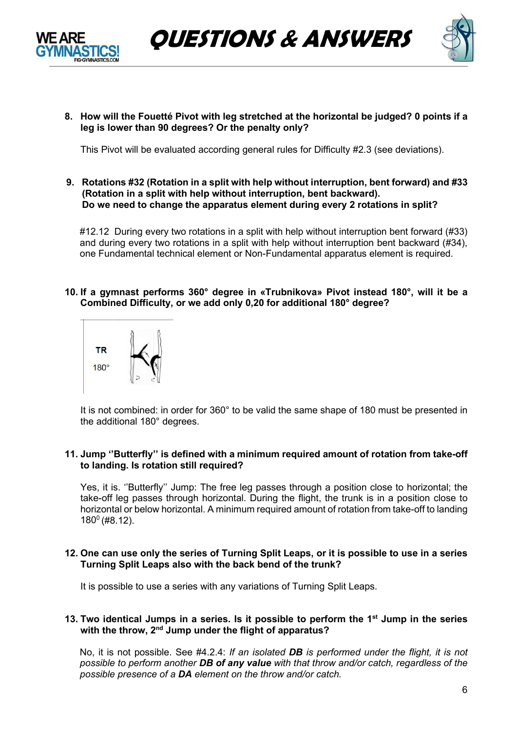



**8. How will the Fouetté Pivot with leg stretched at the horizontal be judged? 0 points if a leg is lower than 90 degrees? Or the penalty only?**

This Pivot will be evaluated according general rules for Difficulty #2.3 (see deviations).

**9. Rotations #32 (Rotation in a split with help without interruption, bent forward) and #33 (Rotation in a split with help without interruption, bent backward). Do we need to change the apparatus element during every 2 rotations in split?**

#12.12 During every two rotations in a split with help without interruption bent forward (#33) and during every two rotations in a split with help without interruption bent backward (#34), one Fundamental technical element or Non-Fundamental apparatus element is required.

**10. If a gymnast performs 360° degree in «Trubnikova» Pivot instead 180°, will it be a Combined Difficulty, or we add only 0,20 for additional 180° degree?** 



It is not combined: in order for 360° to be valid the same shape of 180 must be presented in the additional 180° degrees.

#### **11. Jump ''Butterfly'' is defined with a minimum required amount of rotation from take-off to landing. Is rotation still required?**

Yes, it is. ''Butterfly'' Jump: The free leg passes through a position close to horizontal; the take-off leg passes through horizontal. During the flight, the trunk is in a position close to horizontal or below horizontal. A minimum required amount of rotation from take-off to landing  $180^{\circ}$  (#8.12).

#### 12. One can use only the series of Turning Split Leaps, or it is possible to use in a series **Turning Split Leaps also with the back bend of the trunk?**

It is possible to use a series with any variations of Turning Split Leaps.

#### **13. Two identical Jumps in a series. Is it possible to perform the 1st Jump in the series with the throw, 2nd Jump under the flight of apparatus?**

No, it is not possible. See #4.2.4: *If an isolated DB is performed under the flight, it is not possible to perform another DB of any value with that throw and/or catch, regardless of the possible presence of a DA element on the throw and/or catch.*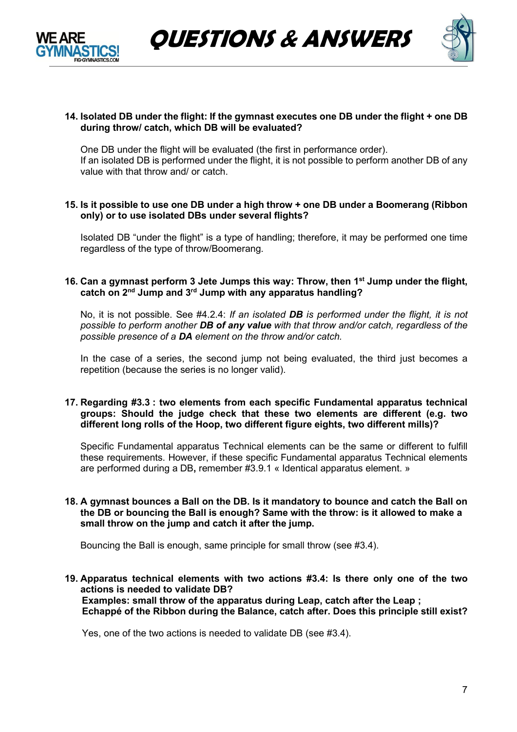



#### **14. Isolated DB under the flight: If the gymnast executes one DB under the flight + one DB during throw/ catch, which DB will be evaluated?**

One DB under the flight will be evaluated (the first in performance order). If an isolated DB is performed under the flight, it is not possible to perform another DB of any value with that throw and/ or catch.

#### **15. Is it possible to use one DB under a high throw + one DB under a Boomerang (Ribbon only) or to use isolated DBs under several flights?**

Isolated DB "under the flight" is a type of handling; therefore, it may be performed one time regardless of the type of throw/Boomerang.

### **16. Can a gymnast perform 3 Jete Jumps this way: Throw, then 1st Jump under the flight, catch on 2nd Jump and 3rd Jump with any apparatus handling?**

No, it is not possible. See #4.2.4: *If an isolated DB is performed under the flight, it is not possible to perform another DB of any value with that throw and/or catch, regardless of the possible presence of a DA element on the throw and/or catch.*

In the case of a series, the second jump not being evaluated, the third just becomes a repetition (because the series is no longer valid).

#### **17. Regarding #3.3 : two elements from each specific Fundamental apparatus technical groups: Should the judge check that these two elements are different (e.g. two different long rolls of the Hoop, two different figure eights, two different mills)?**

Specific Fundamental apparatus Technical elements can be the same or different to fulfill these requirements. However, if these specific Fundamental apparatus Technical elements are performed during a DB**,** remember #3.9.1 « Identical apparatus element. »

#### **18. A gymnast bounces a Ball on the DB. Is it mandatory to bounce and catch the Ball on the DB or bouncing the Ball is enough? Same with the throw: is it allowed to make a small throw on the jump and catch it after the jump.**

Bouncing the Ball is enough, same principle for small throw (see #3.4).

**19. Apparatus technical elements with two actions #3.4: Is there only one of the two actions is needed to validate DB? Examples: small throw of the apparatus during Leap, catch after the Leap ; Echappé of the Ribbon during the Balance, catch after. Does this principle still exist?**

Yes, one of the two actions is needed to validate DB (see #3.4).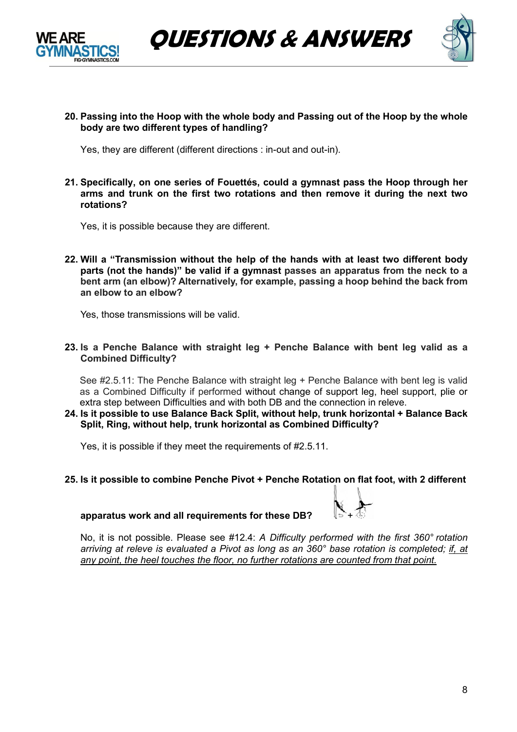



**20. Passing into the Hoop with the whole body and Passing out of the Hoop by the whole body are two different types of handling?** 

Yes, they are different (different directions : in-out and out-in).

**21. Specifically, on one series of Fouettés, could a gymnast pass the Hoop through her arms and trunk on the first two rotations and then remove it during the next two rotations?**

Yes, it is possible because they are different.

**22. Will a "Transmission without the help of the hands with at least two different body parts (not the hands)" be valid if a gymnast passes an apparatus from the neck to a bent arm (an elbow)? Alternatively, for example, passing a hoop behind the back from an elbow to an elbow?**

Yes, those transmissions will be valid.

**23. Is a Penche Balance with straight leg + Penche Balance with bent leg valid as a Combined Difficulty?** 

See #2.5.11: The Penche Balance with straight leg + Penche Balance with bent leg is valid as a Combined Difficulty if performed without change of support leg, heel support, plie or extra step between Difficulties and with both DB and the connection in releve.

**24. Is it possible to use Balance Back Split, without help, trunk horizontal + Balance Back Split, Ring, without help, trunk horizontal as Combined Difficulty?**

Yes, it is possible if they meet the requirements of #2.5.11.

**25. Is it possible to combine Penche Pivot + Penche Rotation on flat foot, with 2 different** 



apparatus work and all requirements for these DB?

No, it is not possible. Please see #12.4: *A Difficulty performed with the first 360° rotation arriving at releve is evaluated a Pivot as long as an 360° base rotation is completed; if, at any point, the heel touches the floor, no further rotations are counted from that point.*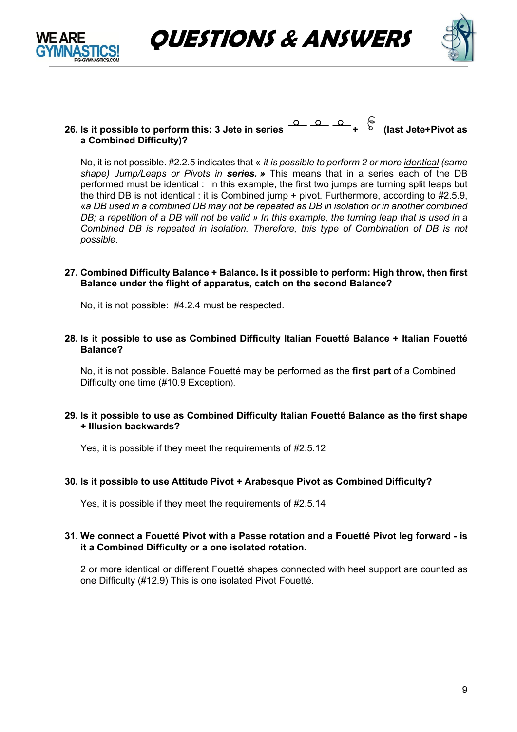

# **26.** Is it possible to perform this: 3 Jete in series  $\overline{O}$  **+**  $\overline{O}$  +  $\overline{O}$  (last Jete+Pivot as **a Combined Difficulty)?**

No, it is not possible. #2.2.5 indicates that « *it is possible to perform 2 or more identical (same shape) Jump/Leaps or Pivots in series. »* This means that in a series each of the DB performed must be identical : in this example, the first two jumps are turning split leaps but the third DB is not identical : it is Combined jump + pivot. Furthermore, according to #2.5.9, «*a DB used in a combined DB may not be repeated as DB in isolation or in another combined DB; a repetition of a DB will not be valid » In this example, the turning leap that is used in a Combined DB is repeated in isolation. Therefore, this type of Combination of DB is not possible.* 

#### **27. Combined Difficulty Balance + Balance. Is it possible to perform: High throw, then first Balance under the flight of apparatus, catch on the second Balance?**

No, it is not possible: #4.2.4 must be respected.

**28. Is it possible to use as Combined Difficulty Italian Fouetté Balance + Italian Fouetté Balance?**

No, it is not possible. Balance Fouetté may be performed as the **first part** of a Combined Difficulty one time (#10.9 Exception).

#### **29. Is it possible to use as Combined Difficulty Italian Fouetté Balance as the first shape + Illusion backwards?**

Yes, it is possible if they meet the requirements of #2.5.12

#### **30. Is it possible to use Attitude Pivot + Arabesque Pivot as Combined Difficulty?**

Yes, it is possible if they meet the requirements of #2.5.14

#### **31. We connect a Fouetté Pivot with a Passe rotation and a Fouetté Pivot leg forward - is it a Combined Difficulty or a one isolated rotation.**

2 or more identical or different Fouetté shapes connected with heel support are counted as one Difficulty (#12.9) This is one isolated Pivot Fouetté.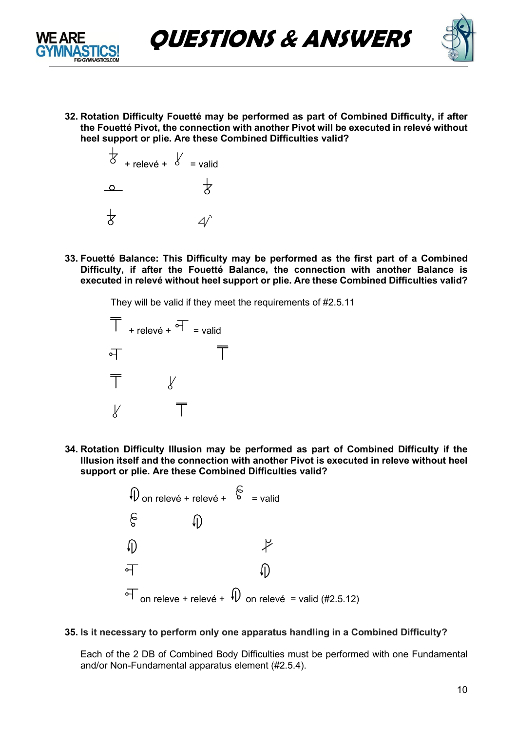



**32. Rotation Difficulty Fouetté may be performed as part of Combined Difficulty, if after the Fouetté Pivot, the connection with another Pivot will be executed in relevé without heel support or plie. Are these Combined Difficulties valid?**



**33. Fouetté Balance: This Difficulty may be performed as the first part of a Combined Difficulty, if after the Fouetté Balance, the connection with another Balance is executed in relevé without heel support or plie. Are these Combined Difficulties valid?**

They will be valid if they meet the requirements of #2.5.11



**34. Rotation Difficulty Illusion may be performed as part of Combined Difficulty if the Illusion itself and the connection with another Pivot is executed in releve without heel support or plie. Are these Combined Difficulties valid?**



### **35. Is it necessary to perform only one apparatus handling in a Combined Difficulty?**

Each of the 2 DB of Combined Body Difficulties must be performed with one Fundamental and/or Non-Fundamental apparatus element (#2.5.4).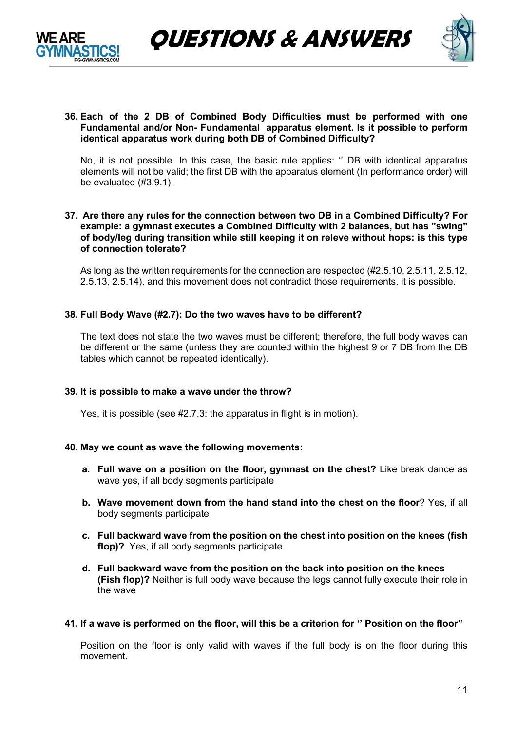



#### **36. Each of the 2 DB of Combined Body Difficulties must be performed with one Fundamental and/or Non- Fundamental apparatus element. Is it possible to perform identical apparatus work during both DB of Combined Difficulty?**

No, it is not possible. In this case, the basic rule applies: '' DB with identical apparatus elements will not be valid; the first DB with the apparatus element (In performance order) will be evaluated (#3.9.1).

#### **37. Are there any rules for the connection between two DB in a Combined Difficulty? For example: a gymnast executes a Combined Difficulty with 2 balances, but has "swing" of body/leg during transition while still keeping it on releve without hops: is this type of connection tolerate?**

As long as the written requirements for the connection are respected (#2.5.10, 2.5.11, 2.5.12, 2.5.13, 2.5.14), and this movement does not contradict those requirements, it is possible.

### **38. Full Body Wave (#2.7): Do the two waves have to be different?**

The text does not state the two waves must be different; therefore, the full body waves can be different or the same (unless they are counted within the highest 9 or 7 DB from the DB tables which cannot be repeated identically).

#### **39. It is possible to make a wave under the throw?**

Yes, it is possible (see #2.7.3: the apparatus in flight is in motion).

#### **40. May we count as wave the following movements:**

- **a. Full wave on a position on the floor, gymnast on the chest?** Like break dance as wave yes, if all body segments participate
- **b. Wave movement down from the hand stand into the chest on the floor**? Yes, if all body segments participate
- **c. Full backward wave from the position on the chest into position on the knees (fish flop)?** Yes, if all body segments participate
- **d. Full backward wave from the position on the back into position on the knees (Fish flop)?** Neither is full body wave because the legs cannot fully execute their role in the wave
- **41. If a wave is performed on the floor, will this be a criterion for '' Position on the floor''**

Position on the floor is only valid with waves if the full body is on the floor during this movement.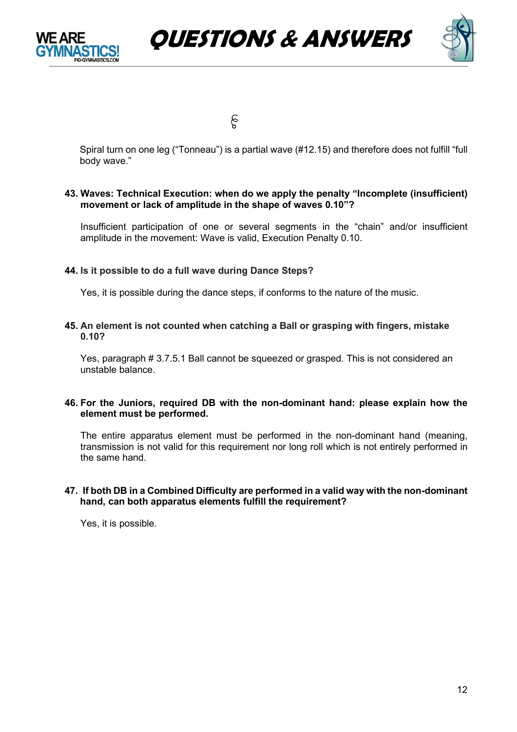





န

Spiral turn on one leg ("Tonneau") is a partial wave (#12.15) and therefore does not fulfill "full body wave."

#### **43. Waves: Technical Execution: when do we apply the penalty "Incomplete (insufficient) movement or lack of amplitude in the shape of waves 0.10"?**

Insufficient participation of one or several segments in the "chain" and/or insufficient amplitude in the movement: Wave is valid, Execution Penalty 0.10.

#### **44. Is it possible to do a full wave during Dance Steps?**

Yes, it is possible during the dance steps, if conforms to the nature of the music.

#### **45. An element is not counted when catching a Ball or grasping with fingers, mistake 0.10?**

Yes, paragraph # 3.7.5.1 Ball cannot be squeezed or grasped. This is not considered an unstable balance.

#### **46. For the Juniors, required DB with the non-dominant hand: please explain how the element must be performed.**

The entire apparatus element must be performed in the non-dominant hand (meaning, transmission is not valid for this requirement nor long roll which is not entirely performed in the same hand.

#### **47. If both DB in a Combined Difficulty are performed in a valid way with the non-dominant hand, can both apparatus elements fulfill the requirement?**

Yes, it is possible.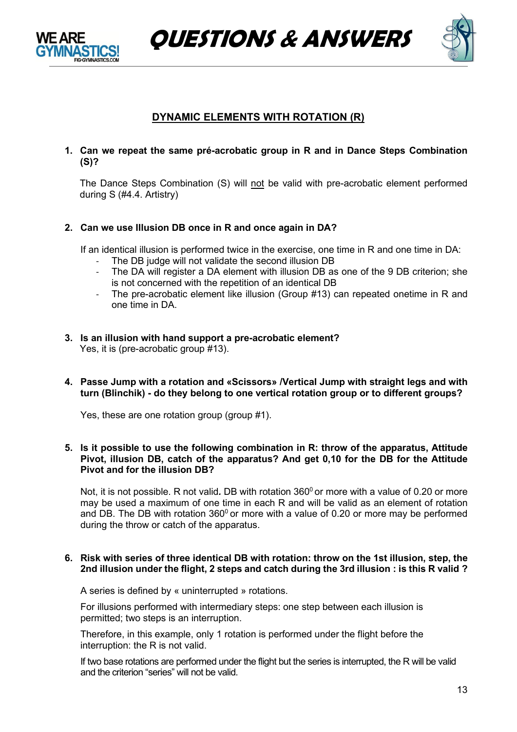

**QUESTIONS & ANSWERS**



# **DYNAMIC ELEMENTS WITH ROTATION (R)**

**1. Can we repeat the same pré-acrobatic group in R and in Dance Steps Combination (S)?**

The Dance Steps Combination (S) will not be valid with pre-acrobatic element performed during S (#4.4. Artistry)

**2. Can we use Illusion DB once in R and once again in DA?** 

If an identical illusion is performed twice in the exercise, one time in R and one time in DA:

- The DB judge will not validate the second illusion DB
- The DA will register a DA element with illusion DB as one of the 9 DB criterion; she is not concerned with the repetition of an identical DB
- The pre-acrobatic element like illusion (Group #13) can repeated onetime in R and one time in DA.
- **3. Is an illusion with hand support a pre-acrobatic element?** Yes, it is (pre-acrobatic group #13).
- **4. Passe Jump with a rotation and «Scissors» /Vertical Jump with straight legs and with turn (Blinchik) - do they belong to one vertical rotation group or to different groups?**

Yes, these are one rotation group (group #1).

**5. Is it possible to use the following combination in R: throw of the apparatus, Attitude Pivot, illusion DB, catch of the apparatus? And get 0,10 for the DB for the Attitude Pivot and for the illusion DB?**

Not, it is not possible. R not valid. DB with rotation 360<sup>0</sup> or more with a value of 0.20 or more may be used a maximum of one time in each R and will be valid as an element of rotation and DB. The DB with rotation  $360^{\circ}$  or more with a value of 0.20 or more may be performed during the throw or catch of the apparatus.

#### **6. Risk with series of three identical DB with rotation: throw on the 1st illusion, step, the 2nd illusion under the flight, 2 steps and catch during the 3rd illusion : is this R valid ?**

A series is defined by « uninterrupted » rotations.

For illusions performed with intermediary steps: one step between each illusion is permitted; two steps is an interruption.

Therefore, in this example, only 1 rotation is performed under the flight before the interruption: the R is not valid.

If two base rotations are performed under the flight but the series is interrupted, the R will be valid and the criterion "series" will not be valid.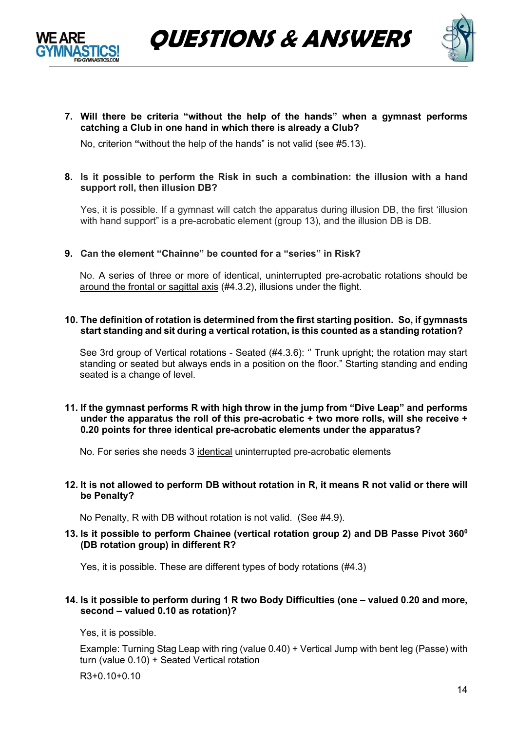



**7. Will there be criteria "without the help of the hands" when a gymnast performs catching a Club in one hand in which there is already a Club?**

No, criterion **"**without the help of the hands" is not valid (see #5.13).

### **8. Is it possible to perform the Risk in such a combination: the illusion with a hand support roll, then illusion DB?**

Yes, it is possible. If a gymnast will catch the apparatus during illusion DB, the first 'illusion with hand support" is a pre-acrobatic element (group 13), and the illusion DB is DB.

### **9. Can the element "Chainne" be counted for a "series" in Risk?**

No. A series of three or more of identical, uninterrupted pre-acrobatic rotations should be around the frontal or sagittal axis (#4.3.2), illusions under the flight.

#### **10. The definition of rotation is determined from the first starting position. So, if gymnasts start standing and sit during a vertical rotation, is this counted as a standing rotation?**

See 3rd group of Vertical rotations - Seated (#4.3.6): '' Trunk upright; the rotation may start standing or seated but always ends in a position on the floor." Starting standing and ending seated is a change of level.

#### **11. If the gymnast performs R with high throw in the jump from "Dive Leap" and performs under the apparatus the roll of this pre-acrobatic + two more rolls, will she receive + 0.20 points for three identical pre-acrobatic elements under the apparatus?**

No. For series she needs 3 identical uninterrupted pre-acrobatic elements

#### **12. It is not allowed to perform DB without rotation in R, it means R not valid or there will be Penalty?**

No Penalty, R with DB without rotation is not valid. (See #4.9).

#### **13. Is it possible to perform Chainee (vertical rotation group 2) and DB Passe Pivot 3600 (DB rotation group) in different R?**

Yes, it is possible. These are different types of body rotations (#4.3)

#### **14. Is it possible to perform during 1 R two Body Difficulties (one – valued 0.20 and more, second – valued 0.10 as rotation)?**

Yes, it is possible.

Example: Turning Stag Leap with ring (value 0.40) + Vertical Jump with bent leg (Passe) with turn (value 0.10) + Seated Vertical rotation

R3+0.10+0.10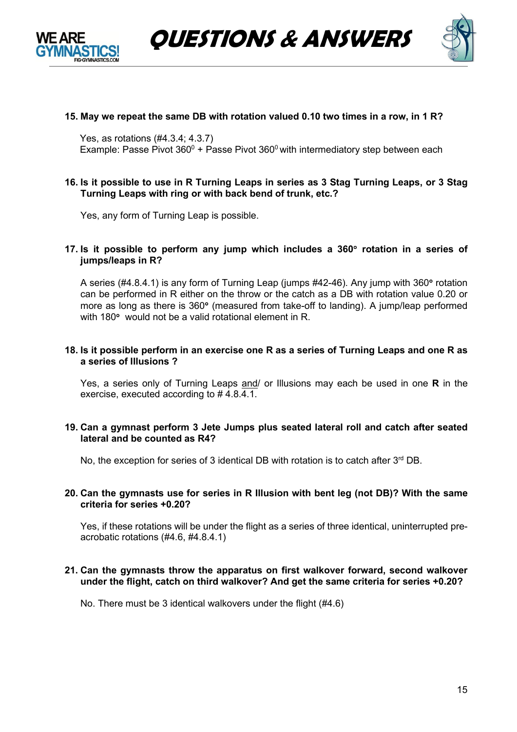



### **15. May we repeat the same DB with rotation valued 0.10 two times in a row, in 1 R?**

Yes, as rotations (#4.3.4; 4.3.7) Example: Passe Pivot  $360^0$  + Passe Pivot  $360^0$  with intermediatory step between each

#### **16. Is it possible to use in R Turning Leaps in series as 3 Stag Turning Leaps, or 3 Stag Turning Leaps with ring or with back bend of trunk, etc.?**

Yes, any form of Turning Leap is possible.

#### **17. Is it possible to perform any jump which includes a 360**° **rotation in a series of jumps/leaps in R?**

A series (#4.8.4.1) is any form of Turning Leap (jumps #42-46). Any jump with 360° rotation can be performed in R either on the throw or the catch as a DB with rotation value 0.20 or more as long as there is 360° (measured from take-off to landing). A jump/leap performed with 180° would not be a valid rotational element in R.

#### **18. Is it possible perform in an exercise one R as a series of Turning Leaps and one R as a series of Illusions ?**

Yes, a series only of Turning Leaps and/ or Illusions may each be used in one **R** in the exercise, executed according to # 4.8.4.1.

#### **19. Can a gymnast perform 3 Jete Jumps plus seated lateral roll and catch after seated lateral and be counted as R4?**

No, the exception for series of 3 identical DB with rotation is to catch after  $3<sup>rd</sup>$  DB.

#### **20. Can the gymnasts use for series in R Illusion with bent leg (not DB)? With the same criteria for series +0.20?**

Yes, if these rotations will be under the flight as a series of three identical, uninterrupted preacrobatic rotations (#4.6, #4.8.4.1)

#### **21. Can the gymnasts throw the apparatus on first walkover forward, second walkover under the flight, catch on third walkover? And get the same criteria for series +0.20?**

No. There must be 3 identical walkovers under the flight (#4.6)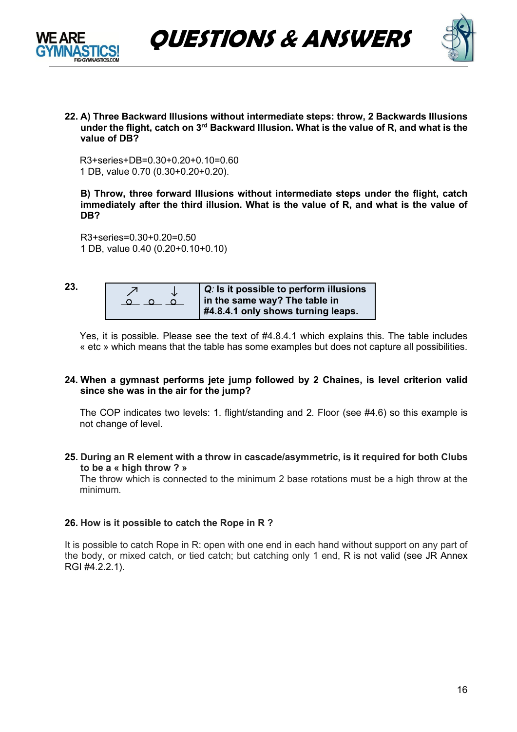



**22. A) Three Backward Illusions without intermediate steps: throw, 2 Backwards Illusions under the flight, catch on 3rd Backward Illusion. What is the value of R, and what is the value of DB?** 

R3+series+DB=0.30+0.20+0.10=0.60 1 DB, value 0.70 (0.30+0.20+0.20).

**B) Throw, three forward Illusions without intermediate steps under the flight, catch immediately after the third illusion. What is the value of R, and what is the value of DB?** 

R3+series=0.30+0.20=0.50 1 DB, value 0.40 (0.20+0.10+0.10)

**23.**

| Jż | $ Q_i $ is it possible to perform illusions<br>in the same way? The table in |
|----|------------------------------------------------------------------------------|
|    | #4.8.4.1 only shows turning leaps.                                           |

Yes, it is possible. Please see the text of #4.8.4.1 which explains this. The table includes « etc » which means that the table has some examples but does not capture all possibilities.

#### **24. When a gymnast performs jete jump followed by 2 Chaines, is level criterion valid since she was in the air for the jump?**

The COP indicates two levels: 1. flight/standing and 2. Floor (see #4.6) so this example is not change of level.

**25. During an R element with a throw in cascade/asymmetric, is it required for both Clubs to be a « high throw ? »**

The throw which is connected to the minimum 2 base rotations must be a high throw at the minimum.

### **26. How is it possible to catch the Rope in R ?**

It is possible to catch Rope in R: open with one end in each hand without support on any part of the body, or mixed catch, or tied catch; but catching only 1 end, R is not valid (see JR Annex RGI #4.2.2.1).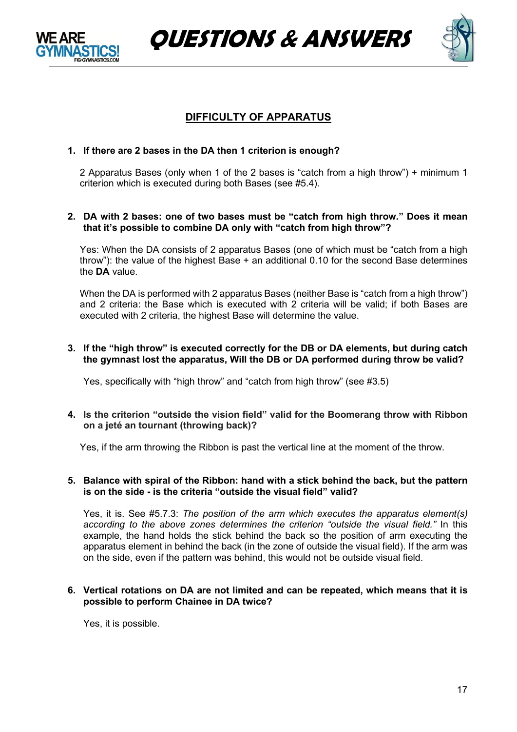





# **DIFFICULTY OF APPARATUS**

### **1. If there are 2 bases in the DA then 1 criterion is enough?**

2 Apparatus Bases (only when 1 of the 2 bases is "catch from a high throw") + minimum 1 criterion which is executed during both Bases (see #5.4).

#### **2. DA with 2 bases: one of two bases must be "catch from high throw." Does it mean that it's possible to combine DA only with "catch from high throw"?**

Yes: When the DA consists of 2 apparatus Bases (one of which must be "catch from a high throw"): the value of the highest Base + an additional 0.10 for the second Base determines the **DA** value.

When the DA is performed with 2 apparatus Bases (neither Base is "catch from a high throw") and 2 criteria: the Base which is executed with 2 criteria will be valid; if both Bases are executed with 2 criteria, the highest Base will determine the value.

#### **3. If the "high throw" is executed correctly for the DB or DA elements, but during catch the gymnast lost the apparatus, Will the DB or DA performed during throw be valid?**

Yes, specifically with "high throw" and "catch from high throw" (see #3.5)

#### **4. Is the criterion "outside the vision field" valid for the Boomerang throw with Ribbon on a jeté an tournant (throwing back)?**

Yes, if the arm throwing the Ribbon is past the vertical line at the moment of the throw.

#### **5. Balance with spiral of the Ribbon: hand with a stick behind the back, but the pattern is on the side - is the criteria "outside the visual field" valid?**

Yes, it is. See #5.7.3: *The position of the arm which executes the apparatus element(s) according to the above zones determines the criterion "outside the visual field."* In this example, the hand holds the stick behind the back so the position of arm executing the apparatus element in behind the back (in the zone of outside the visual field). If the arm was on the side, even if the pattern was behind, this would not be outside visual field.

#### **6. Vertical rotations on DA are not limited and can be repeated, which means that it is possible to perform Chainee in DA twice?**

Yes, it is possible.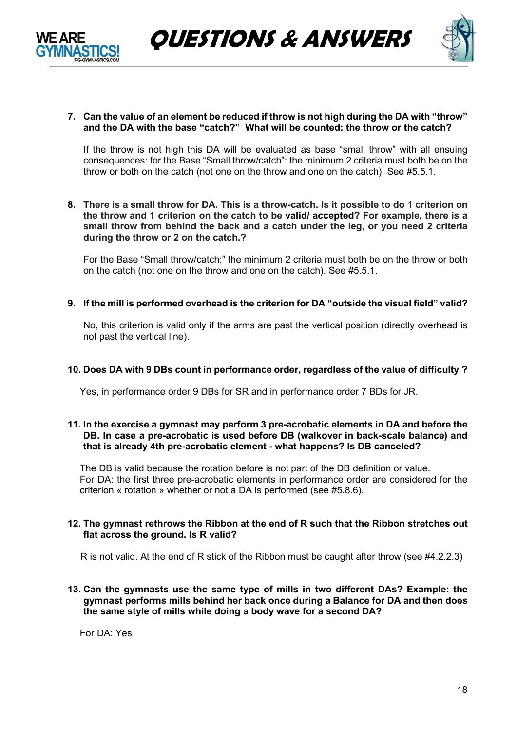



#### **7. Can the value of an element be reduced if throw is not high during the DA with "throw" and the DA with the base "catch?" What will be counted: the throw or the catch?**

If the throw is not high this DA will be evaluated as base "small throw" with all ensuing consequences: for the Base "Small throw/catch": the minimum 2 criteria must both be on the throw or both on the catch (not one on the throw and one on the catch). See #5.5.1.

8. There is a small throw for DA. This is a throw-catch. Is it possible to do 1 criterion on **the throw and 1 criterion on the catch to be valid/ accepted? For example, there is a small throw from behind the back and a catch under the leg, or you need 2 criteria during the throw or 2 on the catch.?**

For the Base "Small throw/catch:" the minimum 2 criteria must both be on the throw or both on the catch (not one on the throw and one on the catch). See #5.5.1.

**9. If the mill is performed overhead is the criterion for DA "outside the visual field" valid?**

No, this criterion is valid only if the arms are past the vertical position (directly overhead is not past the vertical line).

#### **10. Does DA with 9 DBs count in performance order, regardless of the value of difficulty ?**

Yes, in performance order 9 DBs for SR and in performance order 7 BDs for JR.

#### **11. In the exercise a gymnast may perform 3 pre-acrobatic elements in DA and before the DB. In case a pre-acrobatic is used before DB (walkover in back-scale balance) and that is already 4th pre-acrobatic element - what happens? Is DB canceled?**

The DB is valid because the rotation before is not part of the DB definition or value. For DA: the first three pre-acrobatic elements in performance order are considered for the criterion « rotation » whether or not a DA is performed (see #5.8.6).

#### **12. The gymnast rethrows the Ribbon at the end of R such that the Ribbon stretches out flat across the ground. Is R valid?**

R is not valid. At the end of R stick of the Ribbon must be caught after throw (see #4.2.2.3)

**13. Can the gymnasts use the same type of mills in two different DAs? Example: the gymnast performs mills behind her back once during a Balance for DA and then does the same style of mills while doing a body wave for a second DA?** 

For DA: Yes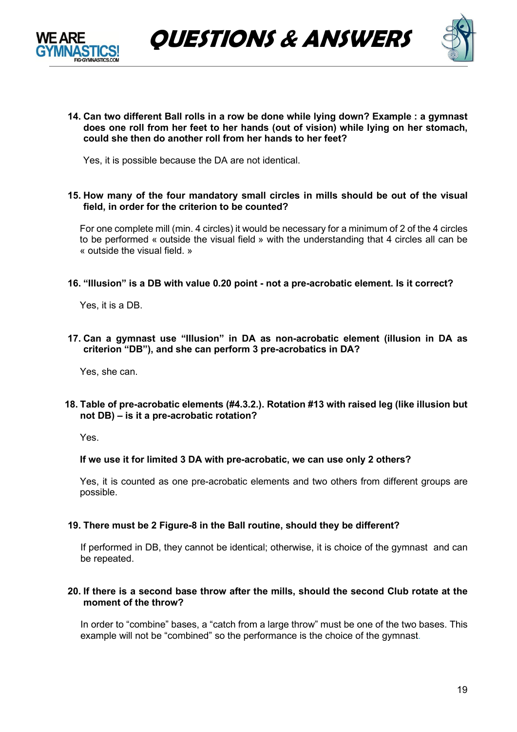



**14. Can two different Ball rolls in a row be done while lying down? Example : a gymnast does one roll from her feet to her hands (out of vision) while lying on her stomach, could she then do another roll from her hands to her feet?**

Yes, it is possible because the DA are not identical.

**15. How many of the four mandatory small circles in mills should be out of the visual field, in order for the criterion to be counted?** 

For one complete mill (min. 4 circles) it would be necessary for a minimum of 2 of the 4 circles to be performed « outside the visual field » with the understanding that 4 circles all can be « outside the visual field. »

#### **16. "Illusion" is a DB with value 0.20 point - not a pre-acrobatic element. Is it correct?**

Yes, it is a DB.

**17. Can a gymnast use "Illusion" in DA as non-acrobatic element (illusion in DA as criterion "DB"), and she can perform 3 pre-acrobatics in DA?** 

Yes, she can.

**18. Table of pre-acrobatic elements (#4.3.2.). Rotation #13 with raised leg (like illusion but not DB) – is it a pre-acrobatic rotation?** 

Yes.

#### **If we use it for limited 3 DA with pre-acrobatic, we can use only 2 others?**

Yes, it is counted as one pre-acrobatic elements and two others from different groups are possible.

#### **19. There must be 2 Figure-8 in the Ball routine, should they be different?**

If performed in DB, they cannot be identical; otherwise, it is choice of the gymnast and can be repeated.

#### **20. If there is a second base throw after the mills, should the second Club rotate at the moment of the throw?**

In order to "combine" bases, a "catch from a large throw" must be one of the two bases. This example will not be "combined" so the performance is the choice of the gymnast.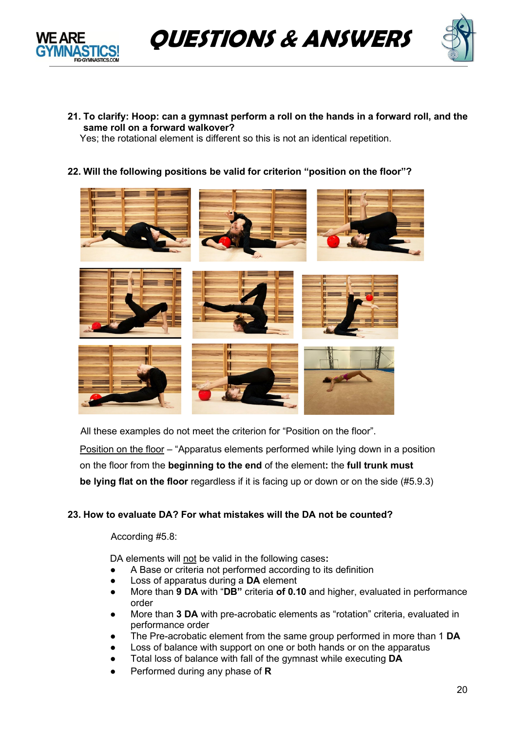



**21. To clarify: Hoop: can a gymnast perform a roll on the hands in a forward roll, and the same roll on a forward walkover?**

Yes; the rotational element is different so this is not an identical repetition.

**22. Will the following positions be valid for criterion "position on the floor"?**



All these examples do not meet the criterion for "Position on the floor".

Position on the floor – "Apparatus elements performed while lying down in a position on the floor from the **beginning to the end** of the element**:** the **full trunk must be lying flat on the floor** regardless if it is facing up or down or on the side (#5.9.3)

## **23. How to evaluate DA? For what mistakes will the DA not be counted?**

According #5.8:

DA elements will not be valid in the following cases**:**

- A Base or criteria not performed according to its definition
- Loss of apparatus during a **DA** element
- More than **9 DA** with "**DB"** criteria **of 0.10** and higher, evaluated in performance order
- More than **3 DA** with pre-acrobatic elements as "rotation" criteria, evaluated in performance order
- The Pre-acrobatic element from the same group performed in more than 1 **DA**
- Loss of balance with support on one or both hands or on the apparatus
- Total loss of balance with fall of the gymnast while executing **DA**
- Performed during any phase of **R**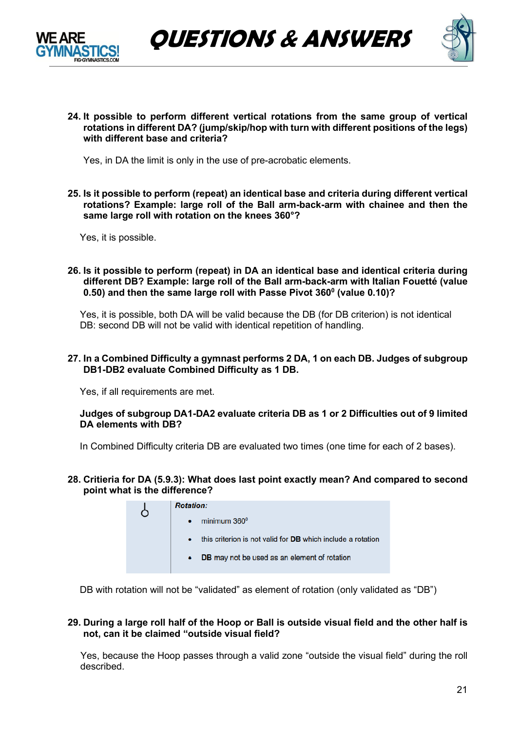



**24. It possible to perform different vertical rotations from the same group of vertical rotations in different DA? (jump/skip/hop with turn with different positions of the legs) with different base and criteria?** 

Yes, in DA the limit is only in the use of pre-acrobatic elements.

**25. Is it possible to perform (repeat) an identical base and criteria during different vertical rotations? Example: large roll of the Ball arm-back-arm with chainee and then the same large roll with rotation on the knees 360°?**

Yes, it is possible.

**26. Is it possible to perform (repeat) in DA an identical base and identical criteria during different DB? Example: large roll of the Ball arm-back-arm with Italian Fouetté (value 0.50) and then the same large roll with Passe Pivot 3600 (value 0.10)?**

Yes, it is possible, both DA will be valid because the DB (for DB criterion) is not identical DB: second DB will not be valid with identical repetition of handling.

#### **27. In a Combined Difficulty a gymnast performs 2 DA, 1 on each DB. Judges of subgroup DB1-DB2 evaluate Combined Difficulty as 1 DB.**

Yes, if all requirements are met.

#### **Judges of subgroup DA1-DA2 evaluate criteria DB as 1 or 2 Difficulties out of 9 limited DA elements with DB?**

In Combined Difficulty criteria DB are evaluated two times (one time for each of 2 bases).

**28. Critieria for DA (5.9.3): What does last point exactly mean? And compared to second point what is the difference?**

| <b>Rotation:</b>                                                   |
|--------------------------------------------------------------------|
| minimum 360 <sup>0</sup>                                           |
| this criterion is not valid for <b>DB</b> which include a rotation |
| <b>DB</b> may not be used as an element of rotation                |
|                                                                    |

DB with rotation will not be "validated" as element of rotation (only validated as "DB")

#### **29. During a large roll half of the Hoop or Ball is outside visual field and the other half is not, can it be claimed "outside visual field?**

Yes, because the Hoop passes through a valid zone "outside the visual field" during the roll described.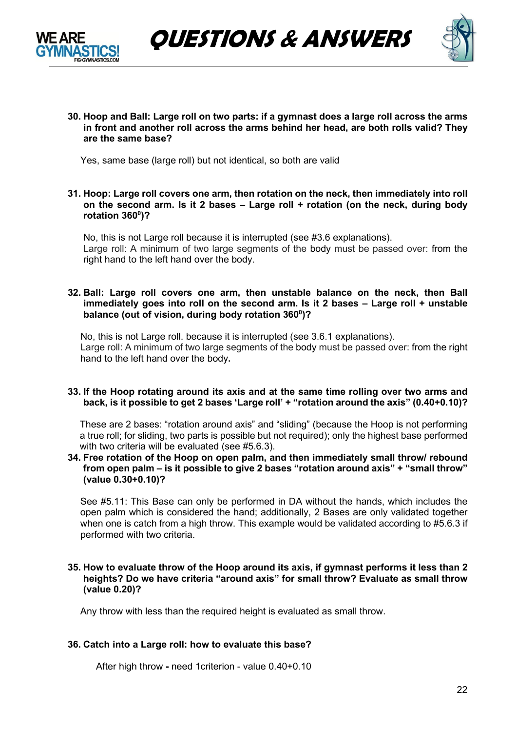



**30. Hoop and Ball: Large roll on two parts: if a gymnast does a large roll across the arms in front and another roll across the arms behind her head, are both rolls valid? They are the same base?**

Yes, same base (large roll) but not identical, so both are valid

**31. Hoop: Large roll covers one arm, then rotation on the neck, then immediately into roll on the second arm. Is it 2 bases – Large roll + rotation (on the neck, during body rotation 3600 )?**

No, this is not Large roll because it is interrupted (see #3.6 explanations). Large roll: A minimum of two large segments of the body must be passed over: from the right hand to the left hand over the body.

#### **32. Ball: Large roll covers one arm, then unstable balance on the neck, then Ball immediately goes into roll on the second arm. Is it 2 bases – Large roll + unstable balance (out of vision, during body rotation 3600 )?**

No, this is not Large roll. because it is interrupted (see 3.6.1 explanations). Large roll: A minimum of two large segments of the body must be passed over: from the right hand to the left hand over the body**.**

#### **33. If the Hoop rotating around its axis and at the same time rolling over two arms and back, is it possible to get 2 bases 'Large roll' + "rotation around the axis" (0.40+0.10)?**

These are 2 bases: "rotation around axis" and "sliding" (because the Hoop is not performing a true roll; for sliding, two parts is possible but not required); only the highest base performed with two criteria will be evaluated (see #5.6.3).

**34. Free rotation of the Hoop on open palm, and then immediately small throw/ rebound from open palm – is it possible to give 2 bases "rotation around axis" + "small throw" (value 0.30+0.10)?**

See #5.11: This Base can only be performed in DA without the hands, which includes the open palm which is considered the hand; additionally, 2 Bases are only validated together when one is catch from a high throw. This example would be validated according to #5.6.3 if performed with two criteria.

#### **35. How to evaluate throw of the Hoop around its axis, if gymnast performs it less than 2 heights? Do we have criteria "around axis" for small throw? Evaluate as small throw (value 0.20)?**

Any throw with less than the required height is evaluated as small throw.

#### **36. Catch into a Large roll: how to evaluate this base?**

After high throw **-** need 1criterion - value 0.40+0.10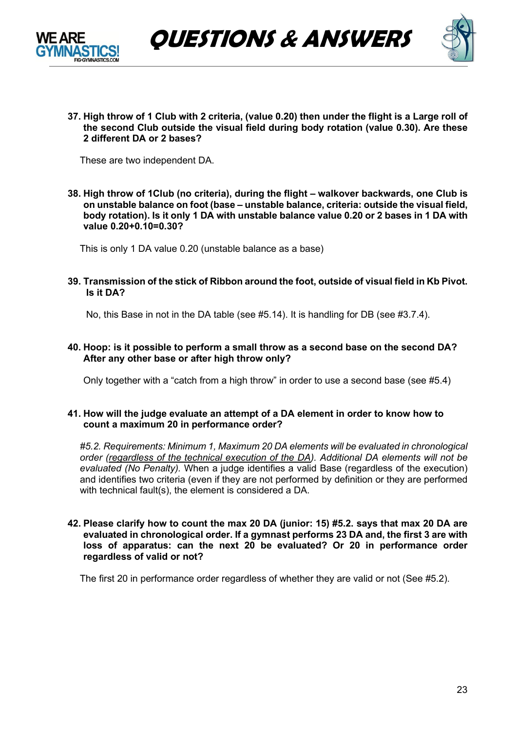



**37. High throw of 1 Club with 2 criteria, (value 0.20) then under the flight is a Large roll of the second Club outside the visual field during body rotation (value 0.30). Are these 2 different DA or 2 bases?** 

These are two independent DA.

**38. High throw of 1Club (no criteria), during the flight – walkover backwards, one Club is on unstable balance on foot (base – unstable balance, criteria: outside the visual field, body rotation). Is it only 1 DA with unstable balance value 0.20 or 2 bases in 1 DA with value 0.20+0.10=0.30?**

This is only 1 DA value 0.20 (unstable balance as a base)

**39. Transmission of the stick of Ribbon around the foot, outside of visual field in Kb Pivot. Is it DA?**

No, this Base in not in the DA table (see #5.14). It is handling for DB (see #3.7.4).

**40. Hoop: is it possible to perform a small throw as a second base on the second DA? After any other base or after high throw only?**

Only together with a "catch from a high throw" in order to use a second base (see #5.4)

#### **41. How will the judge evaluate an attempt of a DA element in order to know how to count a maximum 20 in performance order?**

*#5.2. Requirements: Minimum 1, Maximum 20 DA elements will be evaluated in chronological order (regardless of the technical execution of the DA). Additional DA elements will not be evaluated (No Penalty).* When a judge identifies a valid Base (regardless of the execution) and identifies two criteria (even if they are not performed by definition or they are performed with technical fault(s), the element is considered a DA.

#### **42. Please clarify how to count the max 20 DA (junior: 15) #5.2. says that max 20 DA are evaluated in chronological order. If a gymnast performs 23 DA and, the first 3 are with loss of apparatus: can the next 20 be evaluated? Or 20 in performance order regardless of valid or not?**

The first 20 in performance order regardless of whether they are valid or not (See #5.2).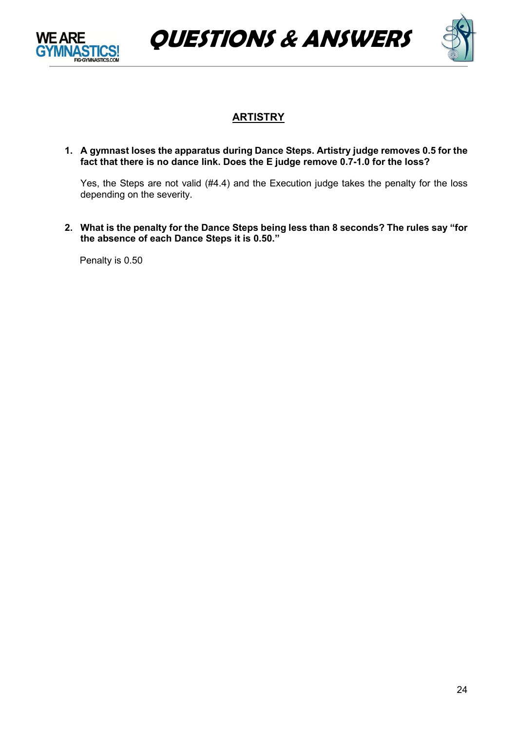





# **ARTISTRY**

**1. A gymnast loses the apparatus during Dance Steps. Artistry judge removes 0.5 for the fact that there is no dance link. Does the E judge remove 0.7-1.0 for the loss?**

Yes, the Steps are not valid (#4.4) and the Execution judge takes the penalty for the loss depending on the severity.

**2. What is the penalty for the Dance Steps being less than 8 seconds? The rules say "for the absence of each Dance Steps it is 0.50."**

Penalty is 0.50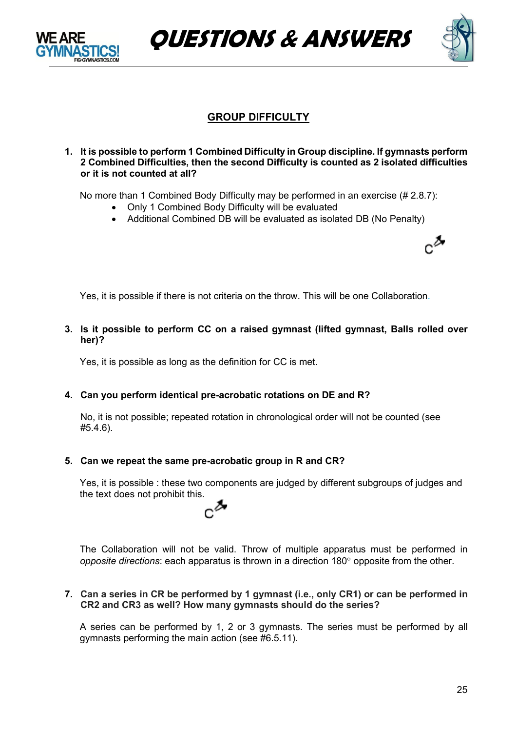

**QUESTIONS & ANSWERS**



# **GROUP DIFFICULTY**

**1. It is possible to perform 1 Combined Difficulty in Group discipline. If gymnasts perform 2 Combined Difficulties, then the second Difficulty is counted as 2 isolated difficulties or it is not counted at all?**

No more than 1 Combined Body Difficulty may be performed in an exercise (# 2.8.7):

- Only 1 Combined Body Difficulty will be evaluated
- Additional Combined DB will be evaluated as isolated DB (No Penalty)



Yes, it is possible if there is not criteria on the throw. This will be one Collaboration.

**3. Is it possible to perform CC on a raised gymnast (lifted gymnast, Balls rolled over her)?**

Yes, it is possible as long as the definition for CC is met.

#### **4. Can you perform identical pre-acrobatic rotations on DE and R?**

No, it is not possible; repeated rotation in chronological order will not be counted (see #5.4.6).

#### **5. Can we repeat the same pre-acrobatic group in R and CR?**

Yes, it is possible : these two components are judged by different subgroups of judges and the text does not prohibit this.



The Collaboration will not be valid. Throw of multiple apparatus must be performed in *opposite directions*: each apparatus is thrown in a direction 180° opposite from the other.

**7. Can a series in CR be performed by 1 gymnast (i.e., only CR1) or can be performed in CR2 and CR3 as well? How many gymnasts should do the series?**

A series can be performed by 1, 2 or 3 gymnasts. The series must be performed by all gymnasts performing the main action (see #6.5.11).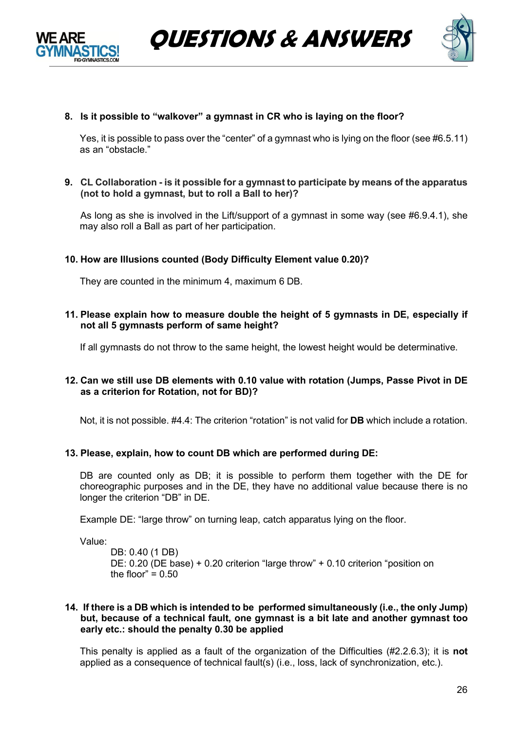



### **8. Is it possible to "walkover" a gymnast in CR who is laying on the floor?**

Yes, it is possible to pass over the "center" of a gymnast who is lying on the floor (see #6.5.11) as an "obstacle."

**9. CL Collaboration - is it possible for a gymnast to participate by means of the apparatus (not to hold a gymnast, but to roll a Ball to her)?**

As long as she is involved in the Lift/support of a gymnast in some way (see #6.9.4.1), she may also roll a Ball as part of her participation.

#### **10. How are Illusions counted (Body Difficulty Element value 0.20)?**

They are counted in the minimum 4, maximum 6 DB.

**11. Please explain how to measure double the height of 5 gymnasts in DE, especially if not all 5 gymnasts perform of same height?**

If all gymnasts do not throw to the same height, the lowest height would be determinative.

#### **12. Can we still use DB elements with 0.10 value with rotation (Jumps, Passe Pivot in DE as a criterion for Rotation, not for BD)?**

Not, it is not possible. #4.4: The criterion "rotation" is not valid for **DB** which include a rotation.

#### **13. Please, explain, how to count DB which are performed during DE:**

DB are counted only as DB; it is possible to perform them together with the DE for choreographic purposes and in the DE, they have no additional value because there is no longer the criterion "DB" in DE.

Example DE: "large throw" on turning leap, catch apparatus lying on the floor.

Value:

DB: 0.40 (1 DB) DE: 0.20 (DE base) + 0.20 criterion "large throw" + 0.10 criterion "position on the floor"  $= 0.50$ 

#### **14. If there is a DB which is intended to be performed simultaneously (i.e., the only Jump) but, because of a technical fault, one gymnast is a bit late and another gymnast too early etc.: should the penalty 0.30 be applied**

This penalty is applied as a fault of the organization of the Difficulties (#2.2.6.3); it is **not** applied as a consequence of technical fault(s) (i.e., loss, lack of synchronization, etc.).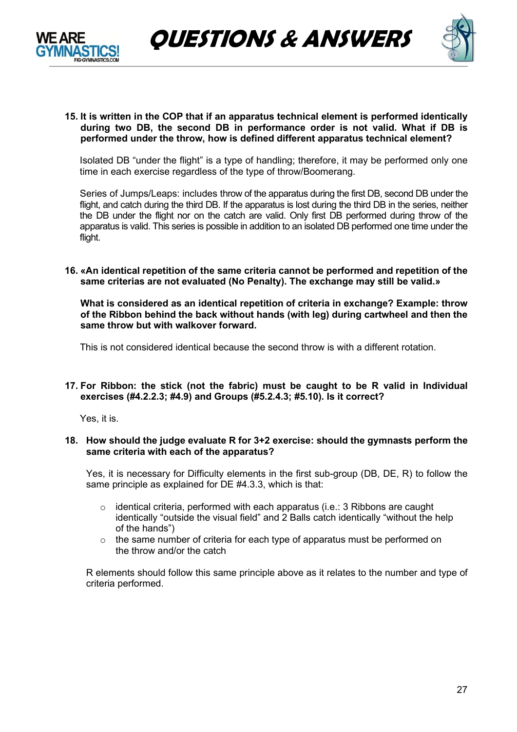



#### **15. It is written in the COP that if an apparatus technical element is performed identically during two DB, the second DB in performance order is not valid. What if DB is performed under the throw, how is defined different apparatus technical element?**

Isolated DB "under the flight" is a type of handling; therefore, it may be performed only one time in each exercise regardless of the type of throw/Boomerang.

Series of Jumps/Leaps: includes throw of the apparatus during the first DB, second DB under the flight, and catch during the third DB. If the apparatus is lost during the third DB in the series, neither the DB under the flight nor on the catch are valid. Only first DB performed during throw of the apparatus is valid. This series is possible in addition to an isolated DB performed one time under the flight.

#### **16. «An identical repetition of the same criteria cannot be performed and repetition of the same criterias are not evaluated (No Penalty). The exchange may still be valid.»**

**What is considered as an identical repetition of criteria in exchange? Example: throw of the Ribbon behind the back without hands (with leg) during cartwheel and then the same throw but with walkover forward.**

This is not considered identical because the second throw is with a different rotation.

#### **17. For Ribbon: the stick (not the fabric) must be caught to be R valid in Individual exercises (#4.2.2.3; #4.9) and Groups (#5.2.4.3; #5.10). Is it correct?**

Yes, it is.

#### **18. How should the judge evaluate R for 3+2 exercise: should the gymnasts perform the same criteria with each of the apparatus?**

Yes, it is necessary for Difficulty elements in the first sub-group (DB, DE, R) to follow the same principle as explained for DE #4.3.3, which is that:

- $\circ$  identical criteria, performed with each apparatus (i.e.: 3 Ribbons are caught identically "outside the visual field" and 2 Balls catch identically "without the help of the hands")
- o the same number of criteria for each type of apparatus must be performed on the throw and/or the catch

R elements should follow this same principle above as it relates to the number and type of criteria performed.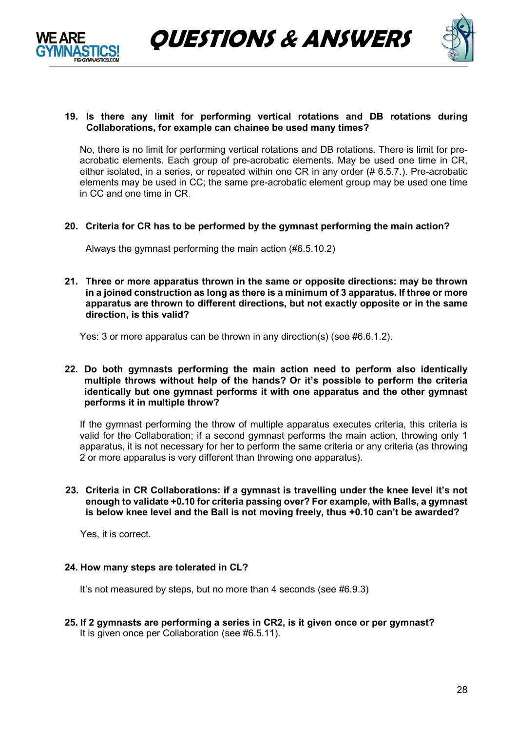



### **19. Is there any limit for performing vertical rotations and DB rotations during Collaborations, for example can chainee be used many times?**

No, there is no limit for performing vertical rotations and DB rotations. There is limit for preacrobatic elements. Each group of pre-acrobatic elements. May be used one time in CR, either isolated, in a series, or repeated within one CR in any order (# 6.5.7.). Pre-acrobatic elements may be used in CC; the same pre-acrobatic element group may be used one time in CC and one time in CR.

**20. Criteria for CR has to be performed by the gymnast performing the main action?**

Always the gymnast performing the main action (#6.5.10.2)

**21. Three or more apparatus thrown in the same or opposite directions: may be thrown in a joined construction as long as there is a minimum of 3 apparatus. If three or more apparatus are thrown to different directions, but not exactly opposite or in the same direction, is this valid?** 

Yes: 3 or more apparatus can be thrown in any direction(s) (see #6.6.1.2).

#### **22. Do both gymnasts performing the main action need to perform also identically multiple throws without help of the hands? Or it's possible to perform the criteria identically but one gymnast performs it with one apparatus and the other gymnast performs it in multiple throw?**

If the gymnast performing the throw of multiple apparatus executes criteria, this criteria is valid for the Collaboration; if a second gymnast performs the main action, throwing only 1 apparatus, it is not necessary for her to perform the same criteria or any criteria (as throwing 2 or more apparatus is very different than throwing one apparatus).

### **23. Criteria in CR Collaborations: if a gymnast is travelling under the knee level it's not enough to validate +0.10 for criteria passing over? For example, with Balls, a gymnast is below knee level and the Ball is not moving freely, thus +0.10 can't be awarded?**

Yes, it is correct.

### **24. How many steps are tolerated in CL?**

It's not measured by steps, but no more than 4 seconds (see #6.9.3)

**25. If 2 gymnasts are performing a series in CR2, is it given once or per gymnast?** It is given once per Collaboration (see #6.5.11).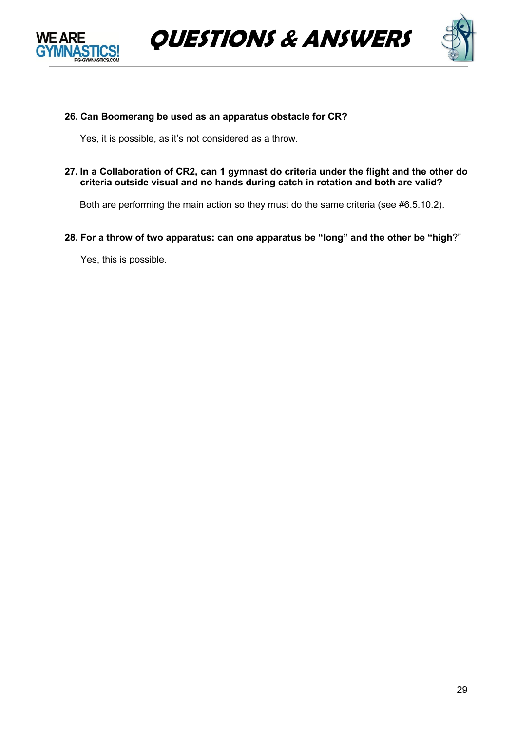





### **26. Can Boomerang be used as an apparatus obstacle for CR?**

Yes, it is possible, as it's not considered as a throw.

**27. In a Collaboration of CR2, can 1 gymnast do criteria under the flight and the other do criteria outside visual and no hands during catch in rotation and both are valid?**

Both are performing the main action so they must do the same criteria (see #6.5.10.2).

**28. For a throw of two apparatus: can one apparatus be "long" and the other be "high**?"

Yes, this is possible.